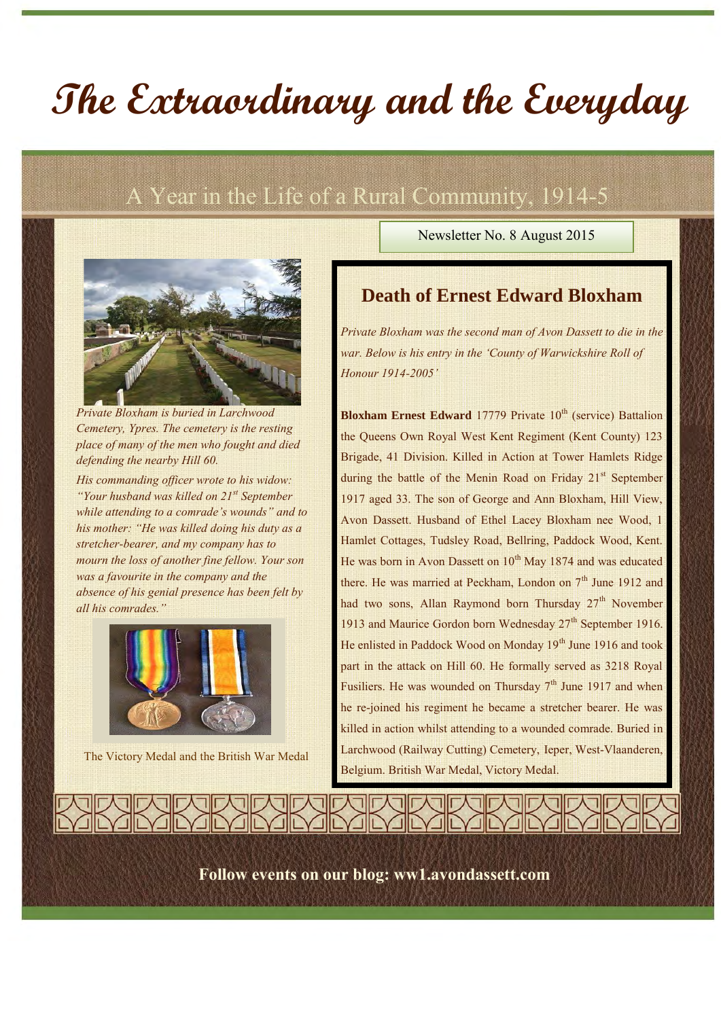# **The Extraordinary and the Everyday**

## A Year in the Life of a Rural Community, 1914-5



*Private Bloxham is buried in Larchwood Cemetery, Ypres. The cemetery is the resting place of many of the men who fought and died defending the nearby Hill 60.*

*His commanding officer wrote to his widow: "Your husband was killed on 21st September while attending to a comrade's wounds" and to his mother: "He was killed doing his duty as a stretcher-bearer, and my company has to mourn the loss of another fine fellow. Your son was a favourite in the company and the absence of his genial presence has been felt by all his comrades."*



The Victory Medal and the British War Medal

Newsletter No. 8 August 2015

#### **Death of Ernest Edward Bloxham**

*Private Bloxham was the second man of Avon Dassett to die in the war. Below is his entry in the 'County of Warwickshire Roll of Honour 1914-2005'*

**Bloxham Ernest Edward** 17779 Private 10<sup>th</sup> (service) Battalion the Queens Own Royal West Kent Regiment (Kent County) 123 Brigade, 41 Division. Killed in Action at Tower Hamlets Ridge during the battle of the Menin Road on Friday 21<sup>st</sup> September 1917 aged 33. The son of George and Ann Bloxham, Hill View, Avon Dassett. Husband of Ethel Lacey Bloxham nee Wood, 1 Hamlet Cottages, Tudsley Road, Bellring, Paddock Wood, Kent. He was born in Avon Dassett on  $10^{th}$  May 1874 and was educated there. He was married at Peckham, London on  $7<sup>th</sup>$  June 1912 and had two sons, Allan Raymond born Thursday 27<sup>th</sup> November 1913 and Maurice Gordon born Wednesday  $27<sup>th</sup>$  September 1916. He enlisted in Paddock Wood on Monday 19<sup>th</sup> June 1916 and took part in the attack on Hill 60. He formally served as 3218 Royal Fusiliers. He was wounded on Thursday  $7<sup>th</sup>$  June 1917 and when he re-joined his regiment he became a stretcher bearer. He was killed in action whilst attending to a wounded comrade. Buried in Larchwood (Railway Cutting) Cemetery, Ieper, West-Vlaanderen, Belgium. British War Medal, Victory Medal.

**Follow events on our blog: ww1.avondassett.com**